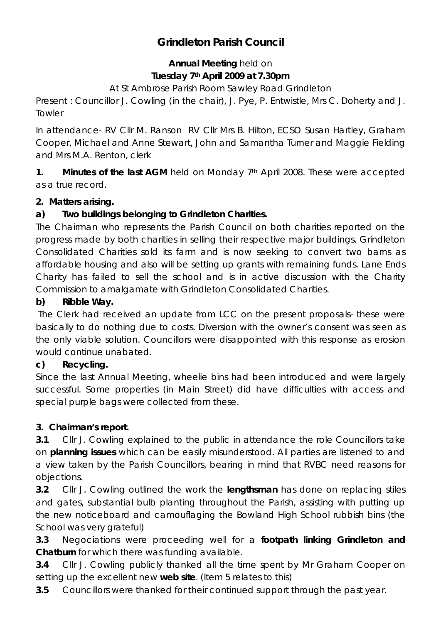# **Grindleton Parish Council**

# **Annual Meeting** held on **Tuesday 7th April 2009 at 7.30pm**

At St Ambrose Parish Room Sawley Road Grindleton

Present : Councillor J. Cowling (in the chair), J. Pye, P. Entwistle, Mrs C. Doherty and J. **Towler** 

In attendance- RV Cllr M. Ranson RV Cllr Mrs B. Hilton, ECSO Susan Hartley, Graham Cooper, Michael and Anne Stewart, John and Samantha Turner and Maggie Fielding and Mrs M.A. Renton, clerk

**1. Minutes of the last AGM** held on Monday 7<sup>th</sup> April 2008. These were accepted as a true record.

# **2. Matters arising.**

#### **a) Two buildings belonging to Grindleton Charities.**

The Chairman who represents the Parish Council on both charities reported on the progress made by both charities in selling their respective major buildings. Grindleton Consolidated Charities sold its farm and is now seeking to convert two barns as affordable housing and also will be setting up grants with remaining funds. Lane Ends Charity has failed to sell the school and is in active discussion with the Charity Commission to amalgamate with Grindleton Consolidated Charities.

#### **b) Ribble Way.**

The Clerk had received an update from LCC on the present proposals- these were basically to do nothing due to costs. Diversion with the owner's consent was seen as the only viable solution. Councillors were disappointed with this response as erosion would continue unabated.

#### **c) Recycling.**

Since the last Annual Meeting, wheelie bins had been introduced and were largely successful. Some properties (in Main Street) did have difficulties with access and special purple bags were collected from these.

# **3. Chairman's report.**

**3.1** Cllr J. Cowling explained to the public in attendance the role Councillors take on **planning issues** which can be easily misunderstood. All parties are listened to and a view taken by the Parish Councillors, bearing in mind that RVBC need reasons for objections.

**3.2** Cllr J. Cowling outlined the work the **lengthsman** has done on replacing stiles and gates, substantial bulb planting throughout the Parish, assisting with putting up the new noticeboard and camouflaging the Bowland High School rubbish bins (the School was very grateful)

**3.3** Negociations were proceeding well for a **footpath linking Grindleton and Chatburn** for which there was funding available.

**3.4** Cllr J. Cowling publicly thanked all the time spent by Mr Graham Cooper on setting up the excellent new **web site**. (Item 5 relates to this)

**3.5** Councillors were thanked for their continued support through the past year.